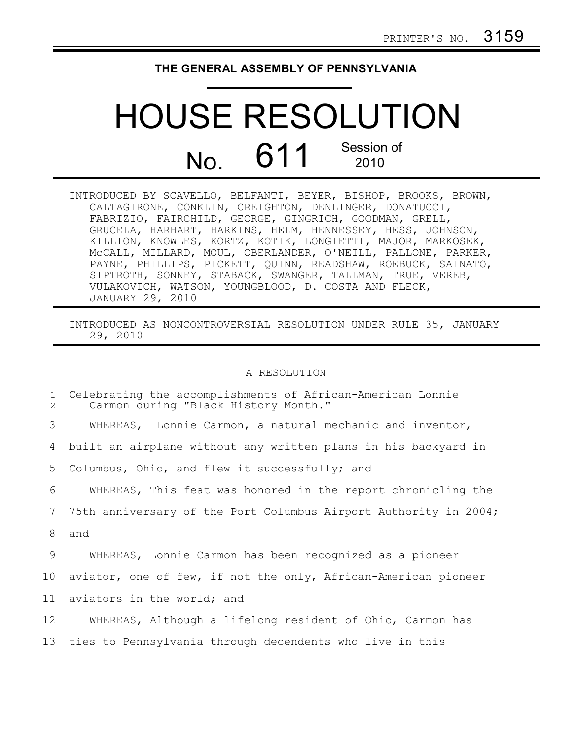## **THE GENERAL ASSEMBLY OF PENNSYLVANIA**

## HOUSE RESOLUTION No. 611 Session of 2010

| INTRODUCED BY SCAVELLO, BELFANTI, BEYER, BISHOP, BROOKS, BROWN, |
|-----------------------------------------------------------------|
| CALTAGIRONE, CONKLIN, CREIGHTON, DENLINGER, DONATUCCI,          |
| FABRIZIO, FAIRCHILD, GEORGE, GINGRICH, GOODMAN, GRELL,          |
| GRUCELA, HARHART, HARKINS, HELM, HENNESSEY, HESS, JOHNSON,      |
| KILLION, KNOWLES, KORTZ, KOTIK, LONGIETTI, MAJOR, MARKOSEK,     |
| MCCALL, MILLARD, MOUL, OBERLANDER, O'NEILL, PALLONE, PARKER,    |
| PAYNE, PHILLIPS, PICKETT, QUINN, READSHAW, ROEBUCK, SAINATO,    |
| SIPTROTH, SONNEY, STABACK, SWANGER, TALLMAN, TRUE, VEREB,       |
| VULAKOVICH, WATSON, YOUNGBLOOD, D. COSTA AND FLECK,             |
| JANUARY 29, 2010                                                |

INTRODUCED AS NONCONTROVERSIAL RESOLUTION UNDER RULE 35, JANUARY 29, 2010

## A RESOLUTION

| $\mathbf{1}$<br>$\overline{2}$ | Celebrating the accomplishments of African-American Lonnie<br>Carmon during "Black History Month." |
|--------------------------------|----------------------------------------------------------------------------------------------------|
| 3                              | WHEREAS, Lonnie Carmon, a natural mechanic and inventor,                                           |
| 4                              | built an airplane without any written plans in his backyard in                                     |
| 5                              | Columbus, Ohio, and flew it successfully; and                                                      |
| 6                              | WHEREAS, This feat was honored in the report chronicling the                                       |
| 7                              | 75th anniversary of the Port Columbus Airport Authority in 2004;                                   |
| 8                              | and                                                                                                |
| 9                              | WHEREAS, Lonnie Carmon has been recognized as a pioneer                                            |
| 10                             | aviator, one of few, if not the only, African-American pioneer                                     |
| 11                             | aviators in the world; and                                                                         |
| 12                             | WHEREAS, Although a lifelong resident of Ohio, Carmon has                                          |
| 13                             | ties to Pennsylvania through decendents who live in this                                           |